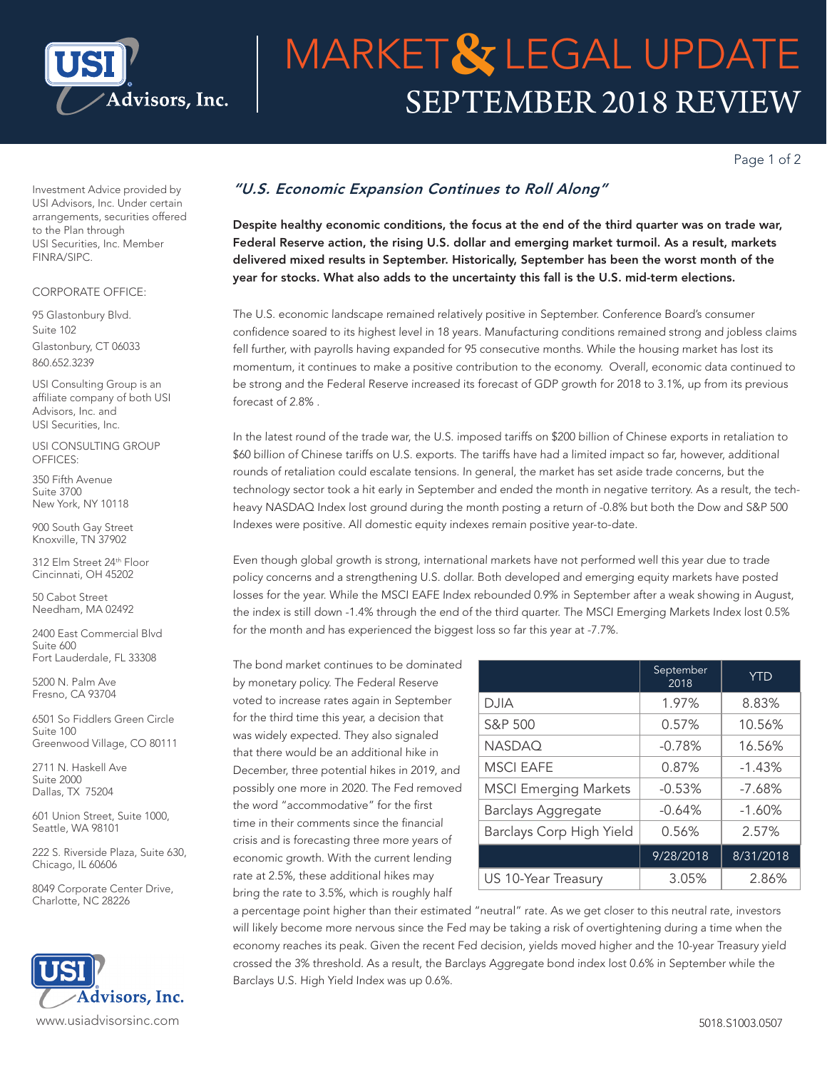

# SEPTEMBER 2018 REVIEW **MARKET& LEGAL UPDATE**

Page 1 of 2

Investment Advice provided by USI Advisors, Inc. Under certain arrangements, securities offered to the Plan through USI Securities, Inc. Member FINRA/SIPC.

### CORPORATE OFFICE:

95 Glastonbury Blvd. Suite 102 Glastonbury, CT 06033 860.652.3239

USI Consulting Group is an affiliate company of both USI Advisors, Inc. and USI Securities, Inc.

USI CONSULTING GROUP OFFICES:

350 Fifth Avenue Suite 3700 New York, NY 10118

900 South Gay Street Knoxville, TN 37902

312 Elm Street 24th Floor Cincinnati, OH 45202

50 Cabot Street Needham, MA 02492

2400 East Commercial Blvd Suite 600 Fort Lauderdale, FL 33308

5200 N. Palm Ave Fresno, CA 93704

6501 So Fiddlers Green Circle Suite 100 Greenwood Village, CO 80111

2711 N. Haskell Ave Suite 2000 Dallas, TX 75204

601 Union Street, Suite 1000, Seattle, WA 98101

222 S. Riverside Plaza, Suite 630, Chicago, IL 60606

8049 Corporate Center Drive, Charlotte, NC 28226



## *"U.S. Economic Expansion Continues to Roll Along"*

Despite healthy economic conditions, the focus at the end of the third quarter was on trade war, Federal Reserve action, the rising U.S. dollar and emerging market turmoil. As a result, markets delivered mixed results in September. Historically, September has been the worst month of the year for stocks. What also adds to the uncertainty this fall is the U.S. mid-term elections.

The U.S. economic landscape remained relatively positive in September. Conference Board's consumer confidence soared to its highest level in 18 years. Manufacturing conditions remained strong and jobless claims fell further, with payrolls having expanded for 95 consecutive months. While the housing market has lost its momentum, it continues to make a positive contribution to the economy. Overall, economic data continued to be strong and the Federal Reserve increased its forecast of GDP growth for 2018 to 3.1%, up from its previous forecast of 2.8% .

In the latest round of the trade war, the U.S. imposed tariffs on \$200 billion of Chinese exports in retaliation to \$60 billion of Chinese tariffs on U.S. exports. The tariffs have had a limited impact so far, however, additional rounds of retaliation could escalate tensions. In general, the market has set aside trade concerns, but the technology sector took a hit early in September and ended the month in negative territory. As a result, the techheavy NASDAQ Index lost ground during the month posting a return of -0.8% but both the Dow and S&P 500 Indexes were positive. All domestic equity indexes remain positive year-to-date.

Even though global growth is strong, international markets have not performed well this year due to trade policy concerns and a strengthening U.S. dollar. Both developed and emerging equity markets have posted losses for the year. While the MSCI EAFE Index rebounded 0.9% in September after a weak showing in August, the index is still down -1.4% through the end of the third quarter. The MSCI Emerging Markets Index lost 0.5% for the month and has experienced the biggest loss so far this year at -7.7%.

The bond market continues to be dominated by monetary policy. The Federal Reserve voted to increase rates again in September for the third time this year, a decision that was widely expected. They also signaled that there would be an additional hike in December, three potential hikes in 2019, and possibly one more in 2020. The Fed removed the word "accommodative" for the first time in their comments since the financial crisis and is forecasting three more years of economic growth. With the current lending rate at 2.5%, these additional hikes may bring the rate to 3.5%, which is roughly half

|                              | September<br>2018 | <b>YTD</b> |
|------------------------------|-------------------|------------|
| <b>DJIA</b>                  | 1.97%             | 8.83%      |
| S&P 500                      | 0.57%             | 10.56%     |
| <b>NASDAQ</b>                | $-0.78%$          | 16.56%     |
| <b>MSCI EAFE</b>             | 0.87%             | $-1.43%$   |
| <b>MSCI Emerging Markets</b> | $-0.53%$          | $-7.68%$   |
| <b>Barclays Aggregate</b>    | $-0.64%$          | $-1.60%$   |
| Barclays Corp High Yield     | 0.56%             | 2.57%      |
|                              | 9/28/2018         | 8/31/2018  |
| US 10-Year Treasury          | 3.05%             | 2.86%      |

a percentage point higher than their estimated "neutral" rate. As we get closer to this neutral rate, investors will likely become more nervous since the Fed may be taking a risk of overtightening during a time when the economy reaches its peak. Given the recent Fed decision, yields moved higher and the 10-year Treasury yield crossed the 3% threshold. As a result, the Barclays Aggregate bond index lost 0.6% in September while the Barclays U.S. High Yield Index was up 0.6%.